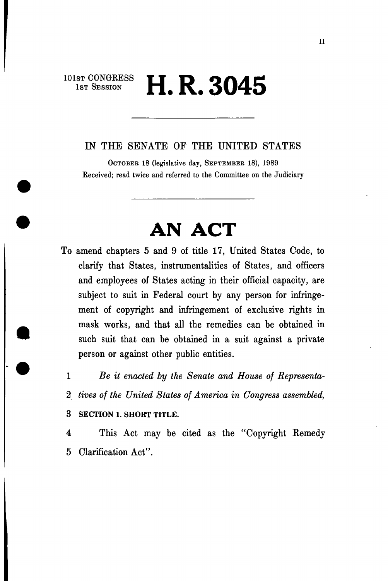## **1st Session H. R. 3045**

## IN THE SENATE OF THE UNITED STATES

OCTOBER 18 (legislative day, SEPTEMBER 18), 1989 Received; read twice and referred to the Committee on the Judiciary

## **AN ACT**

- To amend chapters 5 and 9 of title 17, United States Code, to clarify that States, instrumentalities of States, and officers and employees of States acting in their official capacity, are subject to suit in Federal court by any person for infringement of copyright and infringement of exclusive rights in mask works, and that all the remedies can be obtained in such suit that can be obtained in a suit against a private person or against other public entities.
	- 1 *Be it enacted by the Senate and House of Representa-*
	- 2 *tives of the United States of America in Congress assembled,*
	- 3 **SECTION 1. SHORT TITLE.**

4 This Act may be cited as the "Copyright Remedy 5 Clarification Act".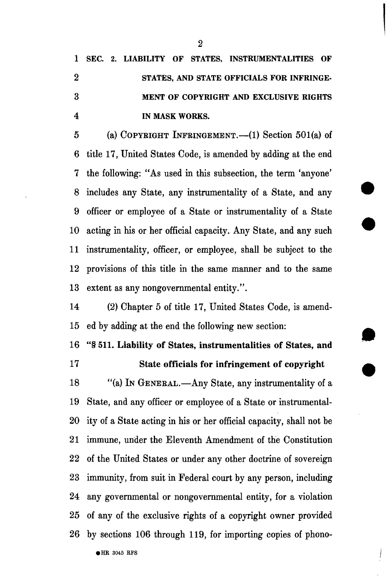**1 SEC. 2. LIABILITY OF STATES, INSTRUMENTALITIES OF 2 STATES, AND STATE OFFICIALS FOR INFRINGE-3 MENT OF COPYRIGHT AND EXCLUSIVE RIGHTS 4 IN MASK WORKS.** 

5 (a) COPYRIGHT INFRINGEMENT.—(1) Section  $501(a)$  of 6 title 17, United States Code, is amended by adding at the end 7 the following: "As used in this subsection, the term 'anyone' 8 includes any State, any instrumentality of a State, and any 9 officer or employee of a State or instrumentality of a State 10 acting in his or her official capacity. Any State, and any such 11 instrumentality, officer, or employee, shall be subject to the 12 provisions of this title in the same manner and to the same 13 extent as any nongovernmental entity.".

14 (2) Chapter 5 of title 17, United States Code, is amend-15 ed by adding at the end the following new section:

16 "§ 511. Liability of States, instrumentalities of States, and

17 State officials for infringement of copyright

18 "(a) IN GENEBAL.—Any State, any instrumentality of a 19 State, and any officer or employee of a State or instrumental-20 ity of a State acting in his or her official capacity, shall not be 21 immune, under the Eleventh Amendment of the Constitution 22 of the United States or under any other doctrine of sovereign 23 immunity, from suit in Federal court by any person, including 24 any governmental or nongovernmental entity, for a violation 25 of any of the exclusive rights of a copyright owner provided 26 by sections 106 through 119, for importing copies of phono-

 $\bullet$ HR 3045 RFS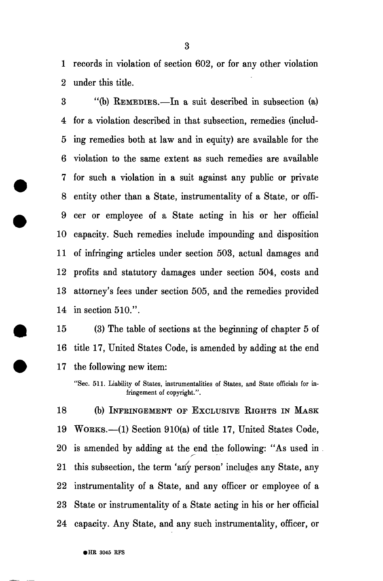1 records in violation of section 602, or for any other violation 2 under this title.

3 "(b) EEMEDIES.—In a suit described in subsection (a) 4 for a violation described in that subsection, remedies (includ-5 ing remedies both at law and in equity) are available for the 6 violation to the same extent as such remedies are available 7 for such a violation in a suit against any public or private 8 entity other than a State, instrumentality of a State, or offi-9 cer or employee of a State acting in his or her official 10 capacity. Such remedies include impounding and disposition 11 of infringing articles under section 503, actual damages and 12 profits and statutory damages under section 504, costs and 13 attorney's fees under section 505, and the remedies provided 14 in section 510.".

15 (3) The table of sections at the beginning of chapter 5 of 16 title 17, United States Code, is amended by adding at the end 17 the following new item:

18 (b) INFEINGEMENT OF EXCLUSIVE RIGHTS IN MASK 19 WOBKS.—(1) Section 910(a) of title 17, United States Code, 20 is amended by adding at the end the following: "As used in 21 this subsection, the term 'any person' includes any State, any 22 instrumentahty of a State, and any officer or employee of a 23 State or instrumentahty of a State acting in his or her official 24 capacity. Any State, and any such instrumentahty, officer, or

<sup>&</sup>quot;Sec. 511. Liability of States, instrumentalities of States, and State officials for infringement of copyright.".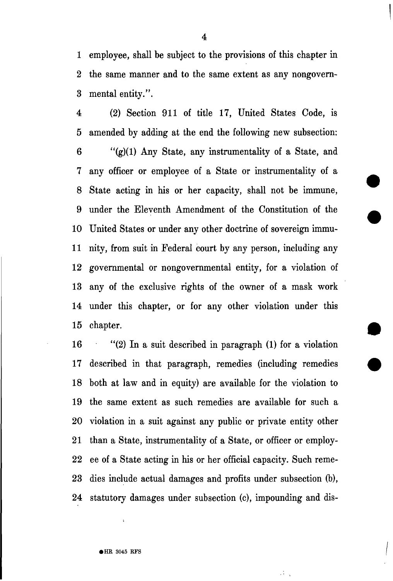1 employee, shall be subject to the provisions of this chapter in 2 the same manner and to the same extent as any nongovern-3 mental entity.".

4 (2) Section 911 of title 17, United States Code, is 5 amended by adding at the end the following new subsection: 6 " $(g)(1)$  Any State, any instrumentality of a State, and 7 any officer or employee of a State or instrumentality of a 8 State acting in his or her capacity, shall not be immune, 9 under the Eleventh Amendment of the Constitution of the 10 United States or under any other doctrine of sovereign immu-11 nity, from suit in Federal court by any person, mcluding any 12 governmental or nongovernmental entity, for a violation of 13 any of the exclusive rights of the owner of a mask work 14 under this chapter, or for any other violation under this 15 chapter.

16 "(2) In a suit described in paragraph (1) for a violation 17 described in that paragraph, remedies (including remedies 18 both at law and in equity) are available for the violation to 19 the same extent as such remedies are available for such a 20 violation in a suit against any public or private entity other 21 than a State, instrumentality of a State, or officer or employ-22 ee of a State acting in his or her official capacity. Such reme-23 dies include actual damages and profits under subsection (b), 24 statutory damages under subsection (c), impounding and dis-

ά,

4

 $\bullet$  HR 3045 RFS